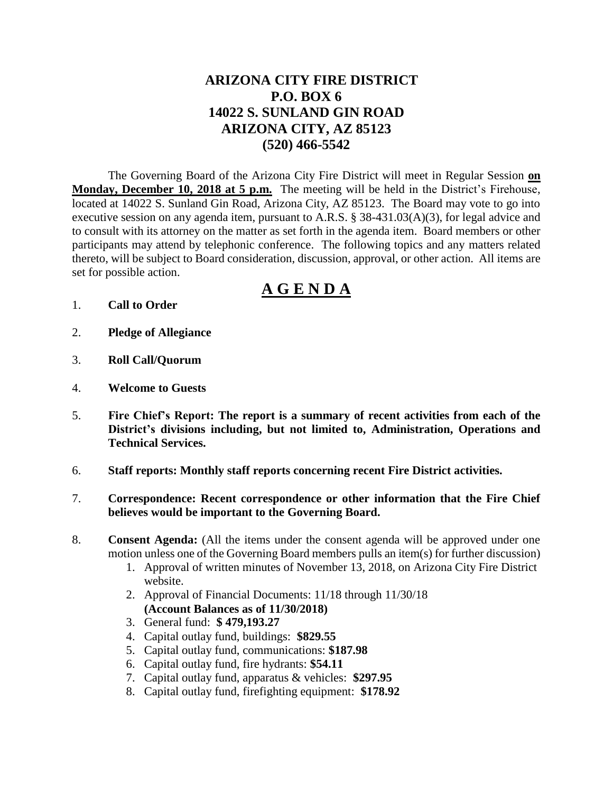# **ARIZONA CITY FIRE DISTRICT P.O. BOX 6 14022 S. SUNLAND GIN ROAD ARIZONA CITY, AZ 85123 (520) 466-5542**

The Governing Board of the Arizona City Fire District will meet in Regular Session **on Monday, December 10, 2018 at 5 p.m.** The meeting will be held in the District's Firehouse, located at 14022 S. Sunland Gin Road, Arizona City, AZ 85123. The Board may vote to go into executive session on any agenda item, pursuant to A.R.S. § 38-431.03(A)(3), for legal advice and to consult with its attorney on the matter as set forth in the agenda item. Board members or other participants may attend by telephonic conference. The following topics and any matters related thereto, will be subject to Board consideration, discussion, approval, or other action. All items are set for possible action.

# **A G E N D A**

- 1. **Call to Order**
- 2. **Pledge of Allegiance**
- 3. **Roll Call/Quorum**
- 4. **Welcome to Guests**
- 5. **Fire Chief's Report: The report is a summary of recent activities from each of the District's divisions including, but not limited to, Administration, Operations and Technical Services.**
- 6. **Staff reports: Monthly staff reports concerning recent Fire District activities.**
- 7. **Correspondence: Recent correspondence or other information that the Fire Chief believes would be important to the Governing Board.**
- 8. **Consent Agenda:** (All the items under the consent agenda will be approved under one motion unless one of the Governing Board members pulls an item(s) for further discussion)
	- 1. Approval of written minutes of November 13, 2018, on Arizona City Fire District website.
	- 2. Approval of Financial Documents: 11/18 through 11/30/18 **(Account Balances as of 11/30/2018)**
	- 3. General fund: **\$ 479,193.27**
	- 4. Capital outlay fund, buildings: **\$829.55**
	- 5. Capital outlay fund, communications: **\$187.98**
	- 6. Capital outlay fund, fire hydrants: **\$54.11**
	- 7. Capital outlay fund, apparatus & vehicles: **\$297.95**
	- 8. Capital outlay fund, firefighting equipment: **\$178.92**